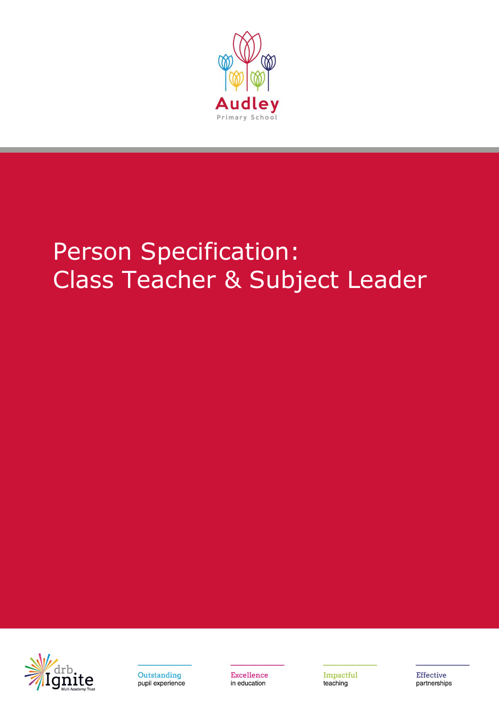

## Person Specification: Class Teacher & Subject Leader





**Excellence** in education

Impactful teaching

**Effective** partnerships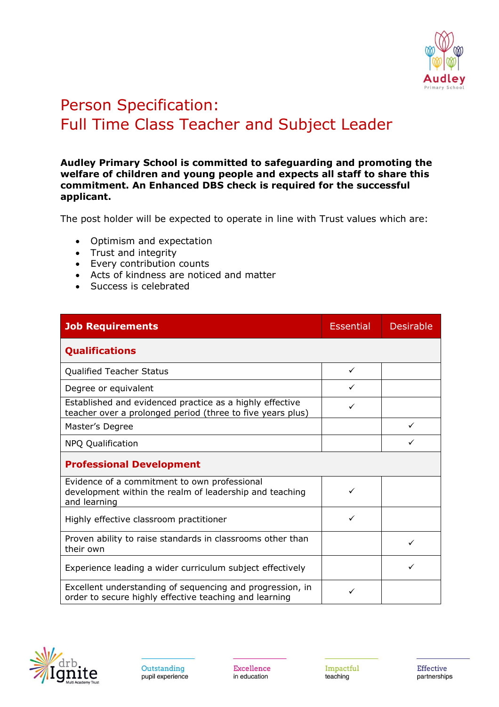

## Person Specification: Full Time Class Teacher and Subject Leader

## **Audley Primary School is committed to safeguarding and promoting the welfare of children and young people and expects all staff to share this commitment. An Enhanced DBS check is required for the successful applicant.**

The post holder will be expected to operate in line with Trust values which are:

- Optimism and expectation
- Trust and integrity
- Every contribution counts
- Acts of kindness are noticed and matter
- Success is celebrated

| <b>Job Requirements</b>                                                                                                 | <b>Essential</b> | <b>Desirable</b> |
|-------------------------------------------------------------------------------------------------------------------------|------------------|------------------|
| <b>Qualifications</b>                                                                                                   |                  |                  |
| <b>Qualified Teacher Status</b>                                                                                         | $\checkmark$     |                  |
| Degree or equivalent                                                                                                    | ✓                |                  |
| Established and evidenced practice as a highly effective<br>teacher over a prolonged period (three to five years plus)  |                  |                  |
| Master's Degree                                                                                                         |                  | ✓                |
| <b>NPQ Qualification</b>                                                                                                |                  |                  |
| <b>Professional Development</b>                                                                                         |                  |                  |
| Evidence of a commitment to own professional<br>development within the realm of leadership and teaching<br>and learning | ✓                |                  |
| Highly effective classroom practitioner                                                                                 | ✓                |                  |
| Proven ability to raise standards in classrooms other than<br>their own                                                 |                  |                  |
| Experience leading a wider curriculum subject effectively                                                               |                  |                  |
| Excellent understanding of sequencing and progression, in<br>order to secure highly effective teaching and learning     | ✓                |                  |

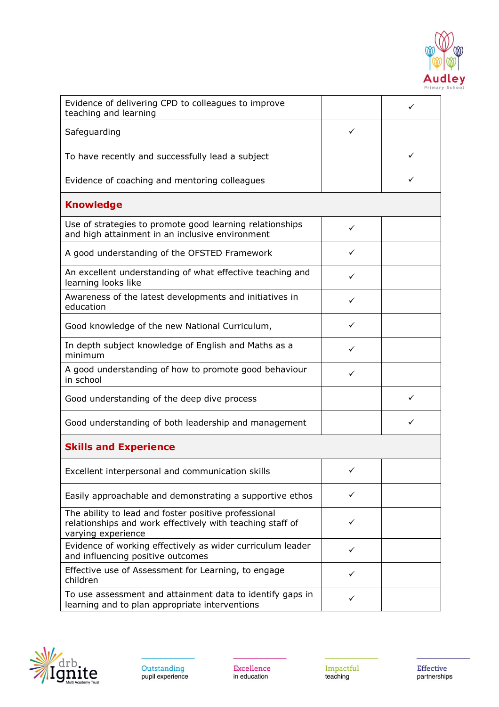

| Evidence of delivering CPD to colleagues to improve<br>teaching and learning                                                            |              |   |
|-----------------------------------------------------------------------------------------------------------------------------------------|--------------|---|
| Safeguarding                                                                                                                            | ✓            |   |
| To have recently and successfully lead a subject                                                                                        |              |   |
| Evidence of coaching and mentoring colleagues                                                                                           |              | ✓ |
| <b>Knowledge</b>                                                                                                                        |              |   |
| Use of strategies to promote good learning relationships<br>and high attainment in an inclusive environment                             | ✓            |   |
| A good understanding of the OFSTED Framework                                                                                            | ✓            |   |
| An excellent understanding of what effective teaching and<br>learning looks like                                                        | ✓            |   |
| Awareness of the latest developments and initiatives in<br>education                                                                    | ✓            |   |
| Good knowledge of the new National Curriculum,                                                                                          | ✓            |   |
| In depth subject knowledge of English and Maths as a<br>minimum                                                                         | ✓            |   |
| A good understanding of how to promote good behaviour<br>in school                                                                      | ✓            |   |
| Good understanding of the deep dive process                                                                                             |              |   |
| Good understanding of both leadership and management                                                                                    |              |   |
| <b>Skills and Experience</b>                                                                                                            |              |   |
| Excellent interpersonal and communication skills                                                                                        | $\checkmark$ |   |
| Easily approachable and demonstrating a supportive ethos                                                                                | ✓            |   |
| The ability to lead and foster positive professional<br>relationships and work effectively with teaching staff of<br>varying experience | ✓            |   |
| Evidence of working effectively as wider curriculum leader<br>and influencing positive outcomes                                         | ✓            |   |
| Effective use of Assessment for Learning, to engage<br>children                                                                         | ✓            |   |
| To use assessment and attainment data to identify gaps in<br>learning and to plan appropriate interventions                             | ✓            |   |



Excellence in education

Impactful<br>teaching